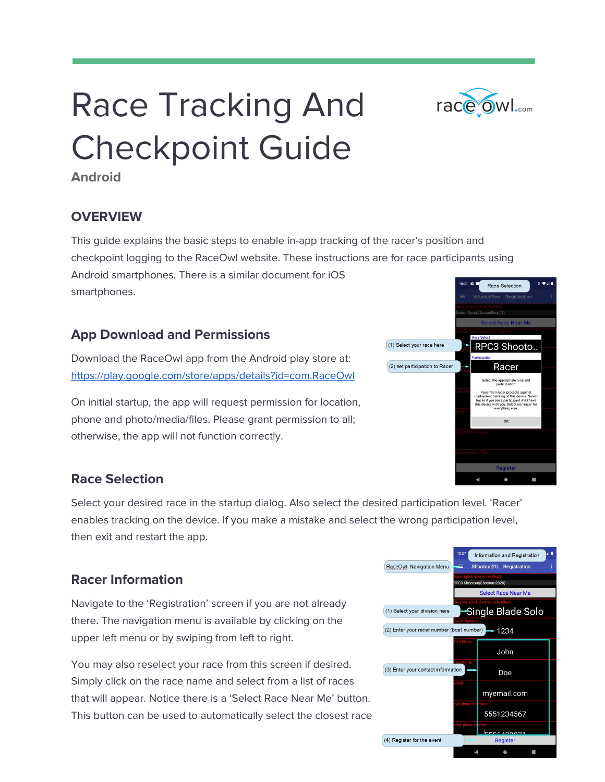# Race Tracking And Checkpoint Guide



### **OVERVIEW**

This guide explains the basic steps to enable in-app tracking of the racer's position and checkpoint logging to the RaceOwl website. These instructions are for race participants using Android smartphones. There is a similar document for iOS smartphones.

### **App Download and Permissions**

Download the RaceOwl app from the Android play store at: <https://play.google.com/store/apps/details?id=com.RaceOwl>

On initial startup, the app will request permission for location, phone and photo/media/files. Please grant permission to all; otherwise, the app will not function correctly.

### **Race Selection**

Select your desired race in the startup dialog. Also select the desired participation level. 'Racer' enables tracking on the device. If you make a mistake and select the wrong participation level, then exit and restart the app.

### **Racer Information**

Navigate to the 'Registration' screen if you are not already there. The navigation menu is available by clicking on the upper left menu or by swiping from left to right.

You may also reselect your race from this screen if desired. Simply click on the race name and select from a list of races that will appear. Notice there is a 'Select Race Near Me' button. This button can be used to automatically select the closest race





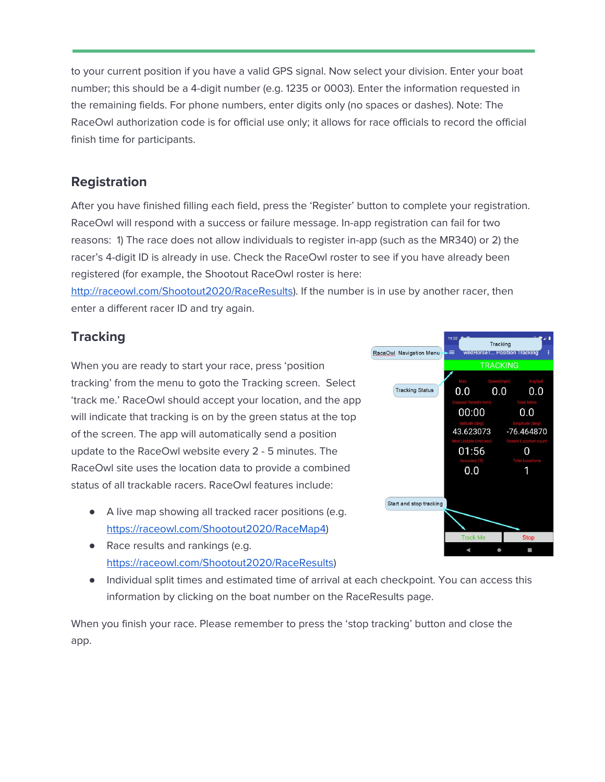to your current position if you have a valid GPS signal. Now select your division. Enter your boat number; this should be a 4-digit number (e.g. 1235 or 0003). Enter the information requested in the remaining fields. For phone numbers, enter digits only (no spaces or dashes). Note: The RaceOwl authorization code is for official use only; it allows for race officials to record the official finish time for participants.

#### **Registration**

After you have finished filling each field, press the 'Register' button to complete your registration. RaceOwl will respond with a success or failure message. In-app registration can fail for two reasons: 1) The race does not allow individuals to register in-app (such as the MR340) or 2) the racer's 4-digit ID is already in use. Check the RaceOwl roster to see if you have already been registered (for example, the Shootout RaceOwl roster is here:

<http://raceowl.com/Shootout2020/RaceResults>). If the number is in use by another racer, then enter a different racer ID and try again.

# **Tracking**

When you are ready to start your race, press 'position tracking' from the menu to goto the Tracking screen. Select 'track me.' RaceOwl should accept your location, and the app will indicate that tracking is on by the green status at the top of the screen. The app will automatically send a position update to the RaceOwl website every 2 - 5 minutes. The RaceOwl site uses the location data to provide a combined status of all trackable racers. RaceOwl features include:

- A live map showing all tracked racer positions (e.g. [https://raceowl.com/Shootout2020/RaceMap4\)](https://raceowl.com/Shootout2020/RaceMap4)
- Race results and rankings (e.g. [https://raceowl.com/Shootout2020/RaceResults\)](https://raceowl.com/Shootout2020/RaceResults)
- Individual split times and estimated time of arrival at each checkpoint. You can access this information by clicking on the boat number on the RaceResults page.

When you finish your race. Please remember to press the 'stop tracking' button and close the app.